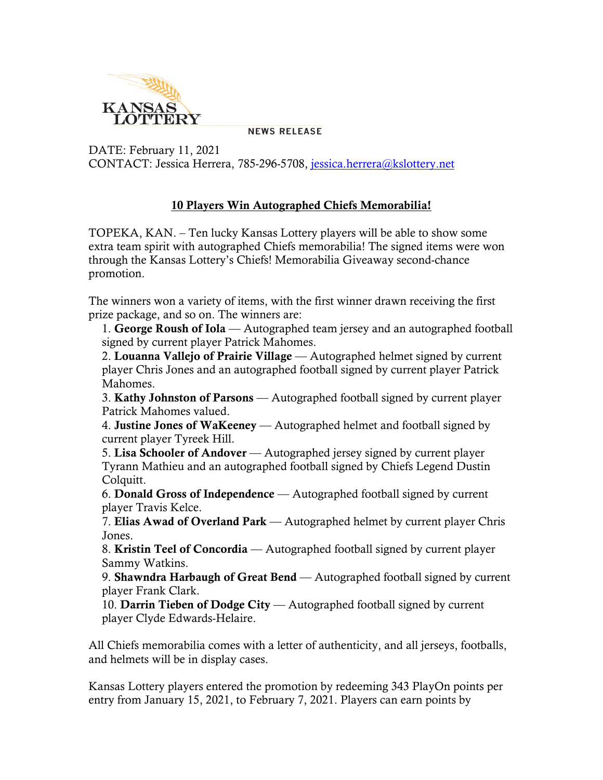

**NEWS RELEASE** 

DATE: February 11, 2021 CONTACT: Jessica Herrera, 785-296-5708, [jessica.herrera@kslottery.net](mailto:jessica.herrera@kslottery.net)

## 10 Players Win Autographed Chiefs Memorabilia!

TOPEKA, KAN. – Ten lucky Kansas Lottery players will be able to show some extra team spirit with autographed Chiefs memorabilia! The signed items were won through the Kansas Lottery's Chiefs! Memorabilia Giveaway second-chance promotion.

The winners won a variety of items, with the first winner drawn receiving the first prize package, and so on. The winners are:

1. George Roush of Iola — Autographed team jersey and an autographed football signed by current player Patrick Mahomes.

2. Louanna Vallejo of Prairie Village — Autographed helmet signed by current player Chris Jones and an autographed football signed by current player Patrick Mahomes.

3. Kathy Johnston of Parsons — Autographed football signed by current player Patrick Mahomes valued.

4. Justine Jones of WaKeeney — Autographed helmet and football signed by current player Tyreek Hill.

5. Lisa Schooler of Andover — Autographed jersey signed by current player Tyrann Mathieu and an autographed football signed by Chiefs Legend Dustin Colquitt.

6. Donald Gross of Independence — Autographed football signed by current player Travis Kelce.

7. Elias Awad of Overland Park — Autographed helmet by current player Chris Jones.

8. Kristin Teel of Concordia — Autographed football signed by current player Sammy Watkins.

9. Shawndra Harbaugh of Great Bend — Autographed football signed by current player Frank Clark.

10. Darrin Tieben of Dodge City — Autographed football signed by current player Clyde Edwards-Helaire.

All Chiefs memorabilia comes with a letter of authenticity, and all jerseys, footballs, and helmets will be in display cases.

Kansas Lottery players entered the promotion by redeeming 343 PlayOn points per entry from January 15, 2021, to February 7, 2021. Players can earn points by